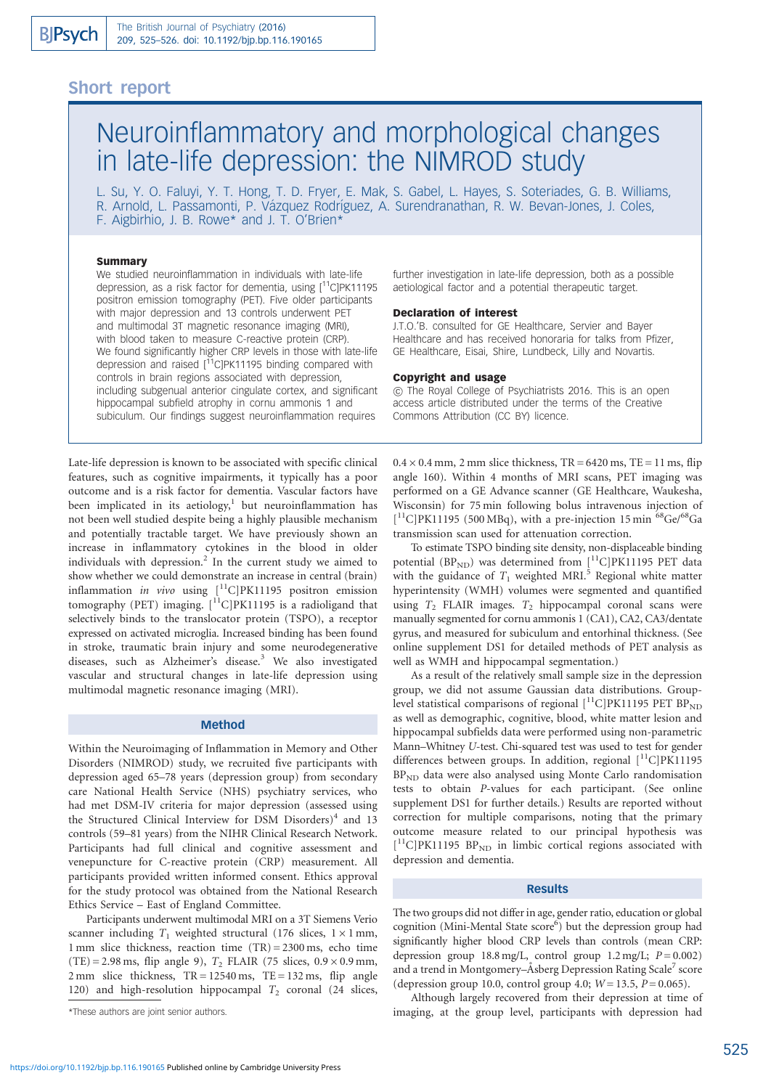# Short report

# Neuroinflammatory and morphological changes in late-life depression: the NIMROD study

L. Su, Y. O. Faluyi, Y. T. Hong, T. D. Fryer, E. Mak, S. Gabel, L. Hayes, S. Soteriades, G. B. Williams, R. Arnold, L. Passamonti, P. Vázquez Rodríguez, A. Surendranathan, R. W. Bevan-Jones, J. Coles, F. Aigbirhio, J. B. Rowe\* and J. T. O'Brien\*

# Summary

We studied neuroinflammation in individuals with late-life depression, as a risk factor for dementia, using [<sup>11</sup>C]PK11195 positron emission tomography (PET). Five older participants with major depression and 13 controls underwent PET and multimodal 3T magnetic resonance imaging (MRI), with blood taken to measure C-reactive protein (CRP). We found significantly higher CRP levels in those with late-life depression and raised  $[$ <sup>11</sup>C]PK11195 binding compared with controls in brain regions associated with depression, including subgenual anterior cingulate cortex, and significant hippocampal subfield atrophy in cornu ammonis 1 and subiculum. Our findings suggest neuroinflammation requires

Late-life depression is known to be associated with specific clinical features, such as cognitive impairments, it typically has a poor outcome and is a risk factor for dementia. Vascular factors have been implicated in its aetiology,<sup>1</sup> but neuroinflammation has not been well studied despite being a highly plausible mechanism and potentially tractable target. We have previously shown an increase in inflammatory cytokines in the blood in older individuals with depression. $<sup>2</sup>$  In the current study we aimed to</sup> show whether we could demonstrate an increase in central (brain) inflammation in vivo using  $\int_1^{11}C|PK11195$  positron emission tomography (PET) imaging.  $\int_0^{11} C|PK11195$  is a radioligand that selectively binds to the translocator protein (TSPO), a receptor expressed on activated microglia. Increased binding has been found in stroke, traumatic brain injury and some neurodegenerative diseases, such as Alzheimer's disease.<sup>3</sup> We also investigated vascular and structural changes in late-life depression using multimodal magnetic resonance imaging (MRI).

# Method

Within the Neuroimaging of Inflammation in Memory and Other Disorders (NIMROD) study, we recruited five participants with depression aged 65–78 years (depression group) from secondary care National Health Service (NHS) psychiatry services, who had met DSM-IV criteria for major depression (assessed using the Structured Clinical Interview for DSM Disorders) $4$  and 13 controls (59–81 years) from the NIHR Clinical Research Network. Participants had full clinical and cognitive assessment and venepuncture for C-reactive protein (CRP) measurement. All participants provided written informed consent. Ethics approval for the study protocol was obtained from the National Research Ethics Service – East of England Committee.

Participants underwent multimodal MRI on a 3T Siemens Verio scanner including  $T_1$  weighted structural (176 slices,  $1 \times 1$  mm, 1 mm slice thickness, reaction time  $(TR) = 2300$  ms, echo time (TE) = 2.98 ms, flip angle 9),  $T_2$  FLAIR (75 slices, 0.9  $\times$  0.9 mm,  $2 \text{ mm}$  slice thickness,  $TR = 12540 \text{ ms}$ ,  $TE = 132 \text{ ms}$ , flip angle 120) and high-resolution hippocampal  $T_2$  coronal (24 slices, further investigation in late-life depression, both as a possible aetiological factor and a potential therapeutic target.

#### Declaration of interest

J.T.O.'B. consulted for GE Healthcare, Servier and Bayer Healthcare and has received honoraria for talks from Pfizer, GE Healthcare, Eisai, Shire, Lundbeck, Lilly and Novartis.

#### Copyright and usage

*B* The Royal College of Psychiatrists 2016. This is an open access article distributed under the terms of the Creative Commons Attribution (CC BY) licence.

 $0.4 \times 0.4$  mm, 2 mm slice thickness, TR = 6420 ms, TE = 11 ms, flip angle 160). Within 4 months of MRI scans, PET imaging was performed on a GE Advance scanner (GE Healthcare, Waukesha, Wisconsin) for 75 min following bolus intravenous injection of [ ${}^{11}$ C]PK11195 (500 MBq), with a pre-injection 15 min  ${}^{68}$ Ge/ ${}^{68}$ Ga transmission scan used for attenuation correction.

To estimate TSPO binding site density, non-displaceable binding potential (BP<sub>ND</sub>) was determined from  $\binom{11}{1}$ C|PK11195 PET data with the guidance of  $T_1$  weighted MRI.<sup>5</sup> Regional white matter hyperintensity (WMH) volumes were segmented and quantified using  $T_2$  FLAIR images.  $T_2$  hippocampal coronal scans were manually segmented for cornu ammonis 1 (CA1), CA2, CA3/dentate gyrus, and measured for subiculum and entorhinal thickness. (See online supplement DS1 for detailed methods of PET analysis as well as WMH and hippocampal segmentation.)

As a result of the relatively small sample size in the depression group, we did not assume Gaussian data distributions. Grouplevel statistical comparisons of regional  $\binom{11}{1}$ C|PK11195 PET BP<sub>ND</sub> as well as demographic, cognitive, blood, white matter lesion and hippocampal subfields data were performed using non-parametric Mann–Whitney U-test. Chi-squared test was used to test for gender differences between groups. In addition, regional  $\lceil {}^{11}C \rceil PK11195$ BP<sub>ND</sub> data were also analysed using Monte Carlo randomisation tests to obtain P-values for each participant. (See online supplement DS1 for further details.) Results are reported without correction for multiple comparisons, noting that the primary outcome measure related to our principal hypothesis was [<sup>11</sup>C]PK11195 BP<sub>ND</sub> in limbic cortical regions associated with depression and dementia.

#### Results

The two groups did not differ in age, gender ratio, education or global cognition (Mini-Mental State score<sup>6</sup>) but the depression group had significantly higher blood CRP levels than controls (mean CRP: depression group  $18.8 \text{ mg/L}$ , control group  $1.2 \text{ mg/L}$ ;  $P = 0.002$ ) and a trend in Montgomery–Åsberg Depression Rating Scale<sup>7</sup> score (depression group 10.0, control group 4.0;  $W = 13.5$ ,  $P = 0.065$ ).

Although largely recovered from their depression at time of imaging, at the group level, participants with depression had

<sup>\*</sup>These authors are joint senior authors.